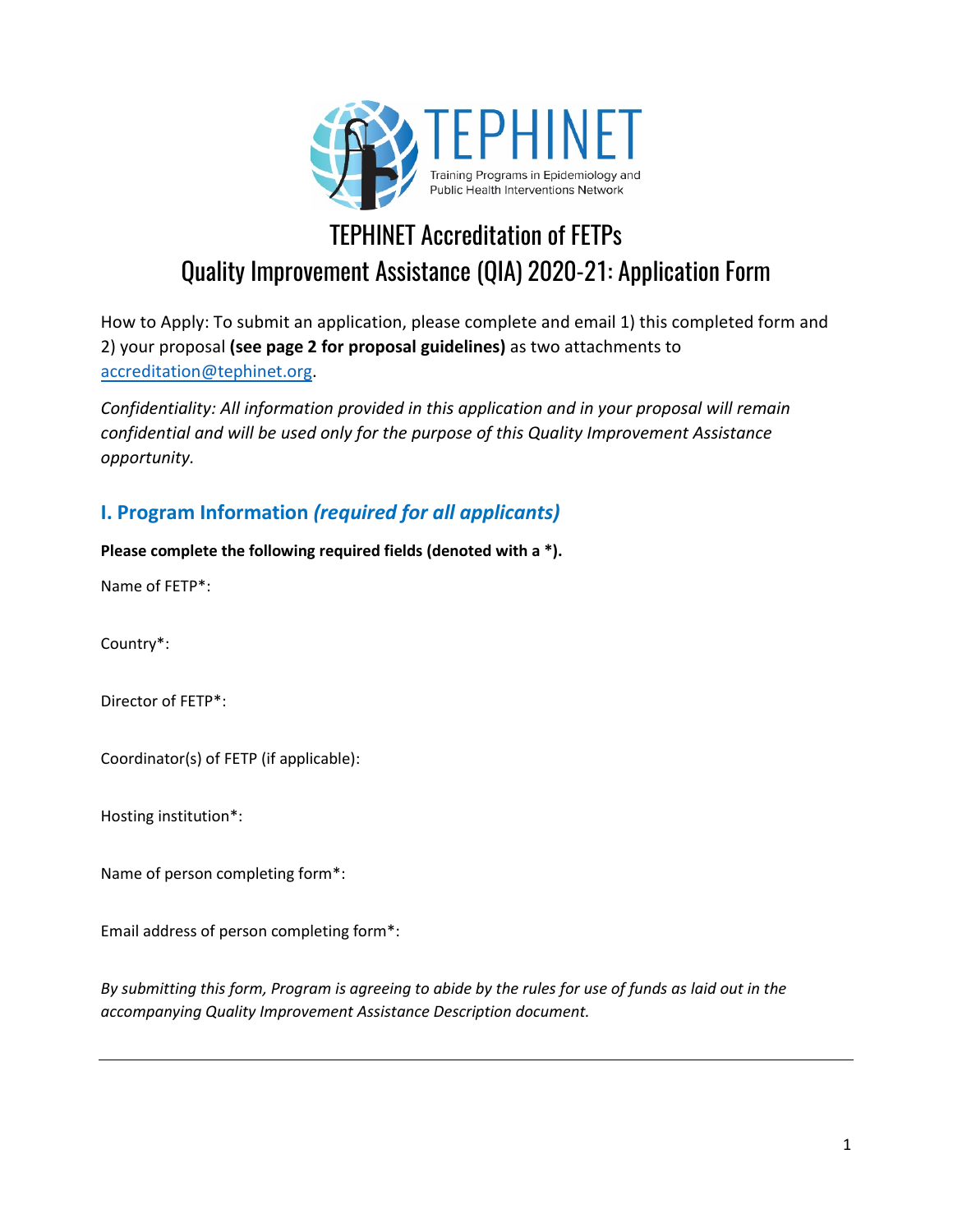

## TEPHINET Accreditation of FETPs Quality Improvement Assistance (QIA) 2020-21: Application Form

How to Apply: To submit an application, please complete and email 1) this completed form and 2) your proposal **(see page 2 for proposal guidelines)** as two attachments to accreditation@tephinet.org.

*Confidentiality: All information provided in this application and in your proposal will remain confidential and will be used only for the purpose of this Quality Improvement Assistance opportunity.*

## **I. Program Information** *(required for all applicants)*

**Please complete the following required fields (denoted with a \*).** 

Name of FETP\*:

Country\*:

Director of FETP\*:

Coordinator(s) of FETP (if applicable):

Hosting institution\*:

Name of person completing form\*:

Email address of person completing form\*:

*By submitting this form, Program is agreeing to abide by the rules for use of funds as laid out in the accompanying Quality Improvement Assistance Description document.*